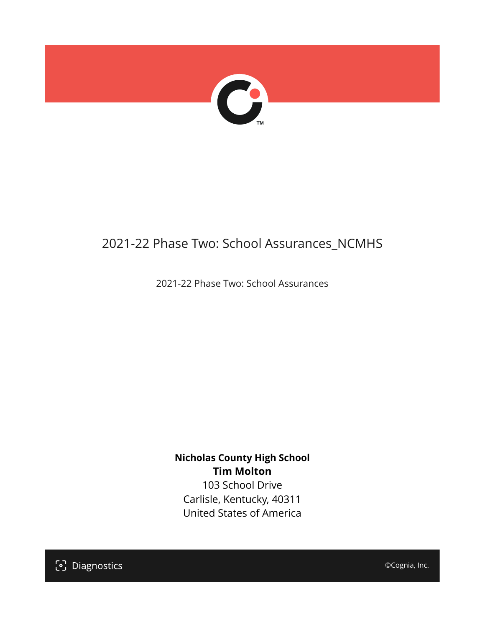

# 2021-22 Phase Two: School Assurances\_NCMHS

2021-22 Phase Two: School Assurances

**Nicholas County High School Tim Molton** 103 School Drive

Carlisle, Kentucky, 40311 United States of America

[၁] Diagnostics

©Cognia, Inc.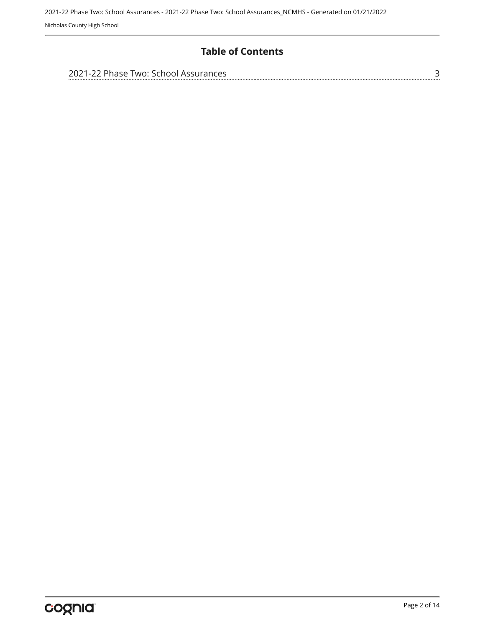## **Table of Contents**

| 2021-22 Phase Two: School Assurances |  |
|--------------------------------------|--|
|                                      |  |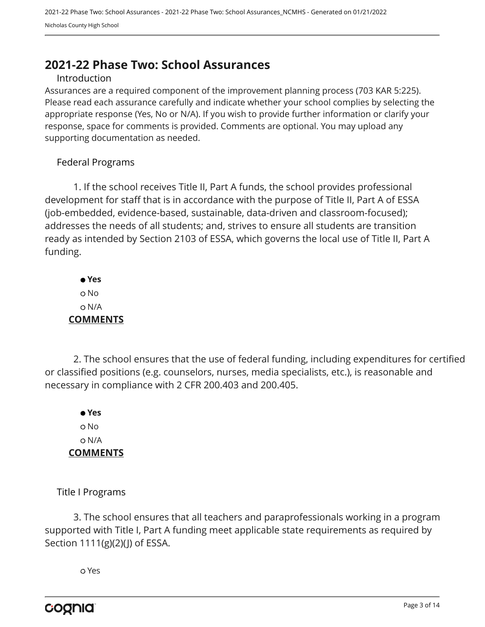# <span id="page-2-0"></span>**2021-22 Phase Two: School Assurances**

#### Introduction

Assurances are a required component of the improvement planning process (703 KAR 5:225). Please read each assurance carefully and indicate whether your school complies by selecting the appropriate response (Yes, No or N/A). If you wish to provide further information or clarify your response, space for comments is provided. Comments are optional. You may upload any supporting documentation as needed.

#### Federal Programs

1. If the school receives Title II, Part A funds, the school provides professional development for staff that is in accordance with the purpose of Title II, Part A of ESSA (job-embedded, evidence-based, sustainable, data-driven and classroom-focused); addresses the needs of all students; and, strives to ensure all students are transition ready as intended by Section 2103 of ESSA, which governs the local use of Title II, Part A funding.

 **Yes** o No N/A **COMMENTS**

2. The school ensures that the use of federal funding, including expenditures for certified or classified positions (e.g. counselors, nurses, media specialists, etc.), is reasonable and necessary in compliance with 2 CFR 200.403 and 200.405.

 **Yes** o No N/A **COMMENTS**

Title I Programs

3. The school ensures that all teachers and paraprofessionals working in a program supported with Title I, Part A funding meet applicable state requirements as required by Section 1111(g)(2)(J) of ESSA.

Yes

cognia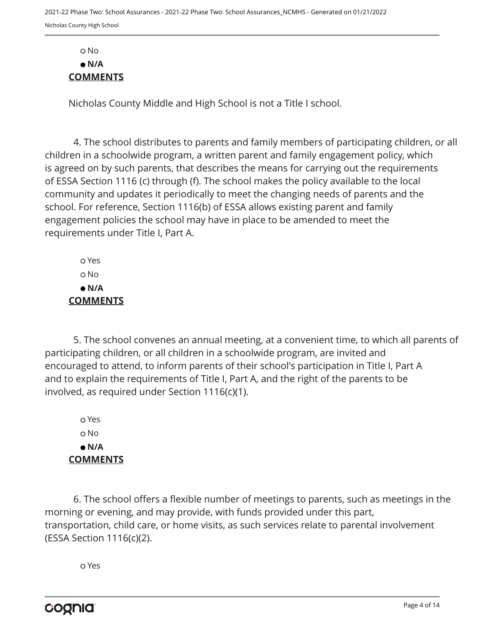Nicholas County Middle and High School is not a Title I school.

4. The school distributes to parents and family members of participating children, or all children in a schoolwide program, a written parent and family engagement policy, which is agreed on by such parents, that describes the means for carrying out the requirements of ESSA Section 1116 (c) through (f). The school makes the policy available to the local community and updates it periodically to meet the changing needs of parents and the school. For reference, Section 1116(b) of ESSA allows existing parent and family engagement policies the school may have in place to be amended to meet the requirements under Title I, Part A.

 Yes o No  **N/A COMMENTS**

5. The school convenes an annual meeting, at a convenient time, to which all parents of participating children, or all children in a schoolwide program, are invited and encouraged to attend, to inform parents of their school's participation in Title I, Part A and to explain the requirements of Title I, Part A, and the right of the parents to be involved, as required under Section 1116(c)(1).

 Yes No  **N/A COMMENTS**

6. The school offers a flexible number of meetings to parents, such as meetings in the morning or evening, and may provide, with funds provided under this part, transportation, child care, or home visits, as such services relate to parental involvement (ESSA Section 1116(c)(2).

Yes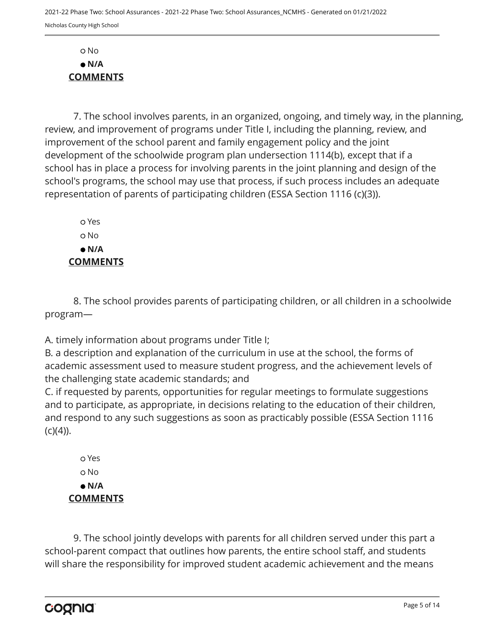7. The school involves parents, in an organized, ongoing, and timely way, in the planning, review, and improvement of programs under Title I, including the planning, review, and improvement of the school parent and family engagement policy and the joint development of the schoolwide program plan undersection 1114(b), except that if a school has in place a process for involving parents in the joint planning and design of the school's programs, the school may use that process, if such process includes an adequate representation of parents of participating children (ESSA Section 1116 (c)(3)).

 Yes No  **N/A COMMENTS**

8. The school provides parents of participating children, or all children in a schoolwide program—

A. timely information about programs under Title I;

B. a description and explanation of the curriculum in use at the school, the forms of academic assessment used to measure student progress, and the achievement levels of the challenging state academic standards; and

C. if requested by parents, opportunities for regular meetings to formulate suggestions and to participate, as appropriate, in decisions relating to the education of their children, and respond to any such suggestions as soon as practicably possible (ESSA Section 1116  $(C)(4)$ ).

 Yes No  **N/A COMMENTS**

9. The school jointly develops with parents for all children served under this part a school-parent compact that outlines how parents, the entire school staff, and students will share the responsibility for improved student academic achievement and the means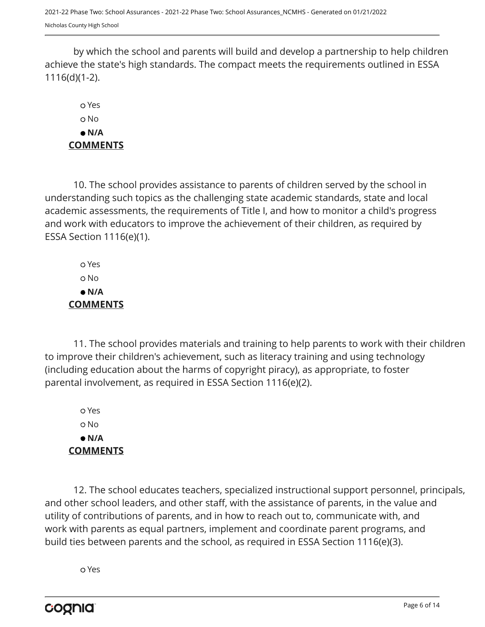2021-22 Phase Two: School Assurances - 2021-22 Phase Two: School Assurances\_NCMHS - Generated on 01/21/2022 Nicholas County High School

by which the school and parents will build and develop a partnership to help children achieve the state's high standards. The compact meets the requirements outlined in ESSA 1116(d)(1-2).

# Yes No  **N/A COMMENTS**

10. The school provides assistance to parents of children served by the school in understanding such topics as the challenging state academic standards, state and local academic assessments, the requirements of Title I, and how to monitor a child's progress and work with educators to improve the achievement of their children, as required by ESSA Section 1116(e)(1).

 Yes o No  **N/A COMMENTS**

11. The school provides materials and training to help parents to work with their children to improve their children's achievement, such as literacy training and using technology (including education about the harms of copyright piracy), as appropriate, to foster parental involvement, as required in ESSA Section 1116(e)(2).

 Yes No  **N/A COMMENTS**

12. The school educates teachers, specialized instructional support personnel, principals, and other school leaders, and other staff, with the assistance of parents, in the value and utility of contributions of parents, and in how to reach out to, communicate with, and work with parents as equal partners, implement and coordinate parent programs, and build ties between parents and the school, as required in ESSA Section 1116(e)(3).

Yes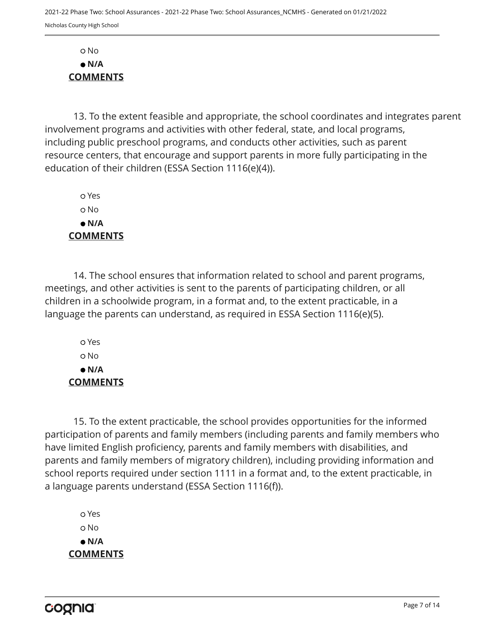13. To the extent feasible and appropriate, the school coordinates and integrates parent involvement programs and activities with other federal, state, and local programs, including public preschool programs, and conducts other activities, such as parent resource centers, that encourage and support parents in more fully participating in the education of their children (ESSA Section 1116(e)(4)).

 Yes No  **N/A COMMENTS**

14. The school ensures that information related to school and parent programs, meetings, and other activities is sent to the parents of participating children, or all children in a schoolwide program, in a format and, to the extent practicable, in a language the parents can understand, as required in ESSA Section 1116(e)(5).

 Yes No  **N/A COMMENTS**

15. To the extent practicable, the school provides opportunities for the informed participation of parents and family members (including parents and family members who have limited English proficiency, parents and family members with disabilities, and parents and family members of migratory children), including providing information and school reports required under section 1111 in a format and, to the extent practicable, in a language parents understand (ESSA Section 1116(f)).

 Yes o No  **N/A COMMENTS**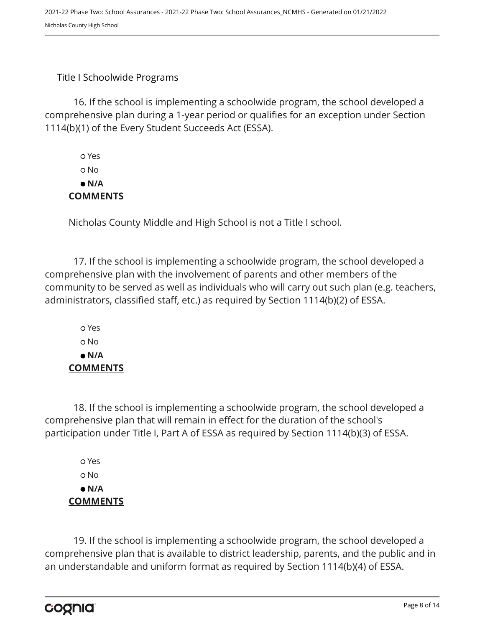#### Title I Schoolwide Programs

16. If the school is implementing a schoolwide program, the school developed a comprehensive plan during a 1-year period or qualifies for an exception under Section 1114(b)(1) of the Every Student Succeeds Act (ESSA).

 Yes o No  **N/A COMMENTS**

Nicholas County Middle and High School is not a Title I school.

17. If the school is implementing a schoolwide program, the school developed a comprehensive plan with the involvement of parents and other members of the community to be served as well as individuals who will carry out such plan (e.g. teachers, administrators, classified staff, etc.) as required by Section 1114(b)(2) of ESSA.

 Yes No  **N/A COMMENTS**

18. If the school is implementing a schoolwide program, the school developed a comprehensive plan that will remain in effect for the duration of the school's participation under Title I, Part A of ESSA as required by Section 1114(b)(3) of ESSA.

 Yes o No  **N/A COMMENTS**

19. If the school is implementing a schoolwide program, the school developed a comprehensive plan that is available to district leadership, parents, and the public and in an understandable and uniform format as required by Section 1114(b)(4) of ESSA.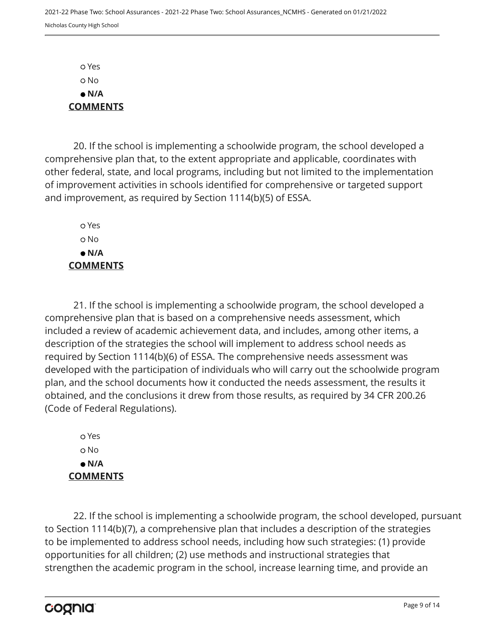Yes No  **N/A COMMENTS**

20. If the school is implementing a schoolwide program, the school developed a comprehensive plan that, to the extent appropriate and applicable, coordinates with other federal, state, and local programs, including but not limited to the implementation of improvement activities in schools identified for comprehensive or targeted support and improvement, as required by Section 1114(b)(5) of ESSA.

 Yes o No  **N/A COMMENTS**

21. If the school is implementing a schoolwide program, the school developed a comprehensive plan that is based on a comprehensive needs assessment, which included a review of academic achievement data, and includes, among other items, a description of the strategies the school will implement to address school needs as required by Section 1114(b)(6) of ESSA. The comprehensive needs assessment was developed with the participation of individuals who will carry out the schoolwide program plan, and the school documents how it conducted the needs assessment, the results it obtained, and the conclusions it drew from those results, as required by 34 CFR 200.26 (Code of Federal Regulations).

 Yes No  **N/A COMMENTS**

22. If the school is implementing a schoolwide program, the school developed, pursuant to Section 1114(b)(7), a comprehensive plan that includes a description of the strategies to be implemented to address school needs, including how such strategies: (1) provide opportunities for all children; (2) use methods and instructional strategies that strengthen the academic program in the school, increase learning time, and provide an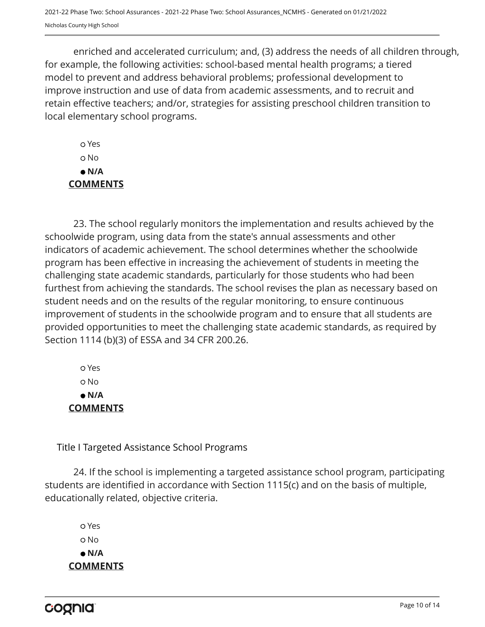enriched and accelerated curriculum; and, (3) address the needs of all children through, for example, the following activities: school-based mental health programs; a tiered model to prevent and address behavioral problems; professional development to improve instruction and use of data from academic assessments, and to recruit and retain effective teachers; and/or, strategies for assisting preschool children transition to local elementary school programs.

 Yes o No  **N/A COMMENTS**

23. The school regularly monitors the implementation and results achieved by the schoolwide program, using data from the state's annual assessments and other indicators of academic achievement. The school determines whether the schoolwide program has been effective in increasing the achievement of students in meeting the challenging state academic standards, particularly for those students who had been furthest from achieving the standards. The school revises the plan as necessary based on student needs and on the results of the regular monitoring, to ensure continuous improvement of students in the schoolwide program and to ensure that all students are provided opportunities to meet the challenging state academic standards, as required by Section 1114 (b)(3) of ESSA and 34 CFR 200.26.

 Yes No  **N/A COMMENTS**

Title I Targeted Assistance School Programs

24. If the school is implementing a targeted assistance school program, participating students are identified in accordance with Section 1115(c) and on the basis of multiple, educationally related, objective criteria.

 Yes o No  **N/A COMMENTS**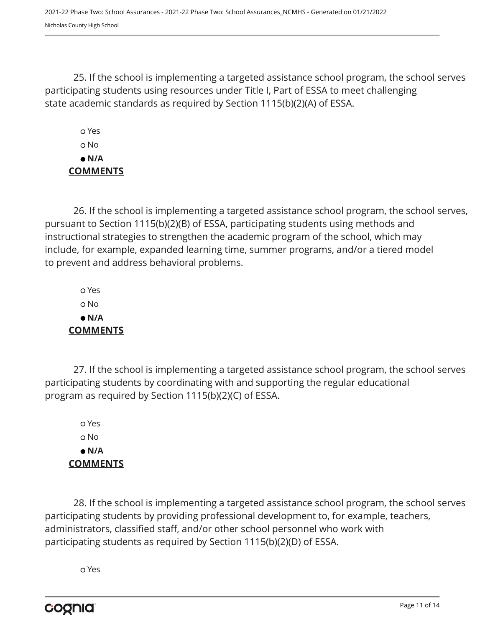2021-22 Phase Two: School Assurances - 2021-22 Phase Two: School Assurances\_NCMHS - Generated on 01/21/2022 Nicholas County High School

25. If the school is implementing a targeted assistance school program, the school serves participating students using resources under Title I, Part of ESSA to meet challenging state academic standards as required by Section 1115(b)(2)(A) of ESSA.

 Yes No  **N/A COMMENTS**

26. If the school is implementing a targeted assistance school program, the school serves, pursuant to Section 1115(b)(2)(B) of ESSA, participating students using methods and instructional strategies to strengthen the academic program of the school, which may include, for example, expanded learning time, summer programs, and/or a tiered model to prevent and address behavioral problems.

 Yes No  **N/A COMMENTS**

27. If the school is implementing a targeted assistance school program, the school serves participating students by coordinating with and supporting the regular educational program as required by Section 1115(b)(2)(C) of ESSA.

 Yes No  **N/A COMMENTS**

28. If the school is implementing a targeted assistance school program, the school serves participating students by providing professional development to, for example, teachers, administrators, classified staff, and/or other school personnel who work with participating students as required by Section 1115(b)(2)(D) of ESSA.

Yes

cognia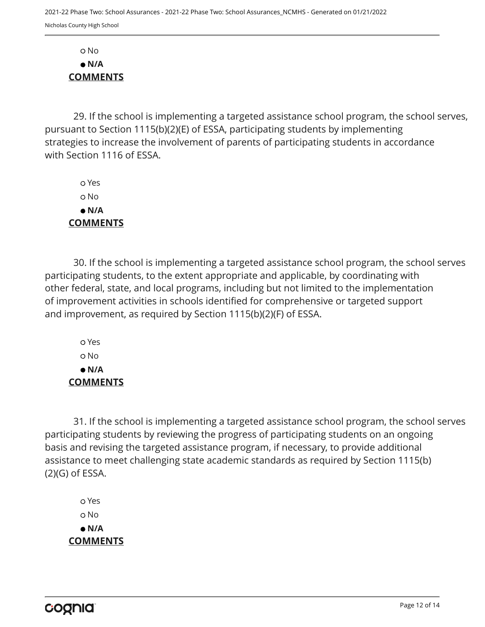29. If the school is implementing a targeted assistance school program, the school serves, pursuant to Section 1115(b)(2)(E) of ESSA, participating students by implementing strategies to increase the involvement of parents of participating students in accordance with Section 1116 of ESSA.

 Yes No  **N/A COMMENTS**

30. If the school is implementing a targeted assistance school program, the school serves participating students, to the extent appropriate and applicable, by coordinating with other federal, state, and local programs, including but not limited to the implementation of improvement activities in schools identified for comprehensive or targeted support and improvement, as required by Section 1115(b)(2)(F) of ESSA.

 Yes No  **N/A COMMENTS**

31. If the school is implementing a targeted assistance school program, the school serves participating students by reviewing the progress of participating students on an ongoing basis and revising the targeted assistance program, if necessary, to provide additional assistance to meet challenging state academic standards as required by Section 1115(b) (2)(G) of ESSA.

 Yes No  **N/A COMMENTS**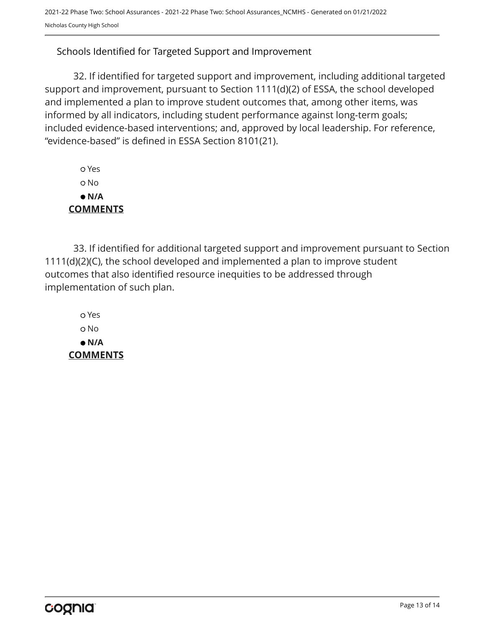## Schools Identified for Targeted Support and Improvement

32. If identified for targeted support and improvement, including additional targeted support and improvement, pursuant to Section 1111(d)(2) of ESSA, the school developed and implemented a plan to improve student outcomes that, among other items, was informed by all indicators, including student performance against long-term goals; included evidence-based interventions; and, approved by local leadership. For reference, "evidence-based" is defined in ESSA Section 8101(21).

| o Yes           |
|-----------------|
| o No            |
| e N/A           |
| <b>COMMENTS</b> |

33. If identified for additional targeted support and improvement pursuant to Section 1111(d)(2)(C), the school developed and implemented a plan to improve student outcomes that also identified resource inequities to be addressed through implementation of such plan.

 Yes No  **N/A COMMENTS**